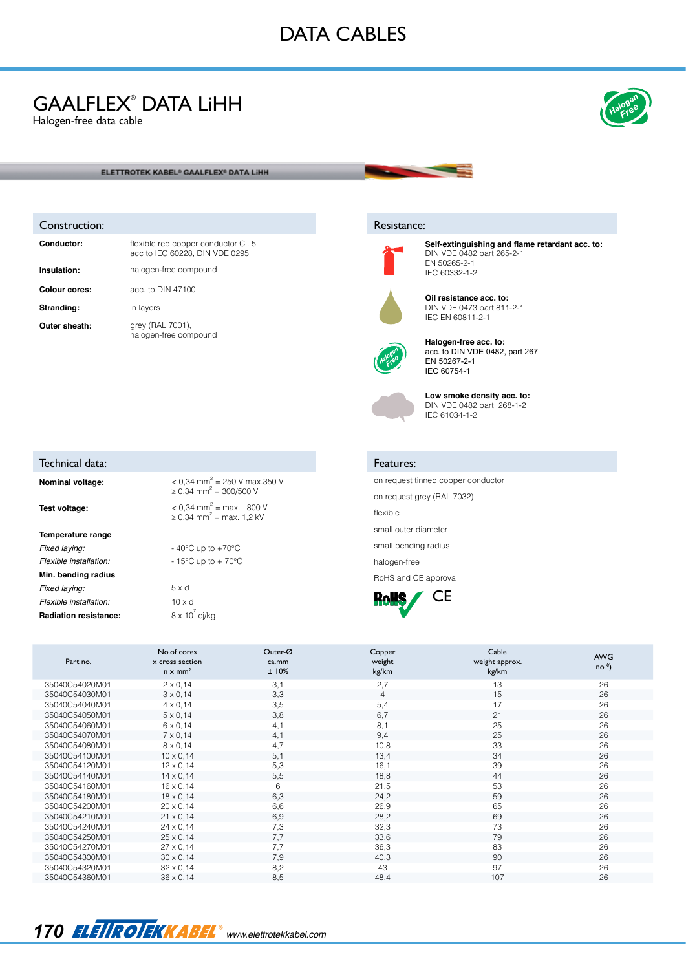# DATA CABLES

## GAALFLEX® DATA LiHH

Halogen-free data cable



#### ELETTROTEK KABEL<sup>®</sup> GAALFLEX<sup>®</sup> DATA LIHH

#### Construction:

Technical data:

**Temperature range**

**Min. bending radius**

**Radiation resistance:** 

| Conductor:    | flexible red copper conductor CI. 5,<br>acc to IEC 60228. DIN VDE 0295 |
|---------------|------------------------------------------------------------------------|
| Insulation:   | halogen-free compound                                                  |
| Colour cores: | acc. to DIN 47100                                                      |
| Stranding:    | in layers                                                              |
| Outer sheath: | grey (RAL 7001).<br>halogen-free compound                              |

**Nominal voltage:**  $< 0.34$  mm<sup>2</sup> = 250 V max.350 V

**Test voltage:**  $\left| \begin{array}{c} 0.34 \text{ mm}^2 = \text{max.} \end{array} \right| 800 \text{ V}$ 

*Fixed laying:* - 40°C up to +70°C *Flexible installation:* - 15°C up to + 70°C

*Fixed laying:* 5 x d *Flexible installation:* 10 x d

 $≥ 0,34$  mm<sup>2</sup> = 300/500 V

 $≥ 0,34$  mm<sup>2</sup> = max. 1,2 kV

 $8 \times 10^{7}$  cj/kg

### Resistance:



**Self-extinguishing and flame retardant acc. to:**  DIN VDE 0482 part 265-2-1 EN 50265-2-1 IEC 60332-1-2



**Oil resistance acc. to:**  DIN VDE 0473 part 811-2-1 IEC EN 60811-2-1



**Halogen-free acc. to:**  acc. to DIN VDE 0482, part 267 EN 50267-2-1 IEC 60754-1



**Low smoke density acc. to:** DIN VDE 0482 part. 268-1-2 IEC 61034-1-2

### Features:

on request tinned copper conductor on request grey (RAL 7032) flexible small outer diameter

small bending radius halogen-free

RoHS and CE approva



| Part no.       | No.of cores<br>x cross section<br>$n \times mm^2$ | Outer-Ø<br>ca.mm<br>±10% | Copper<br>weight<br>kg/km | Cable<br>weight approx.<br>kg/km | <b>AWG</b><br>$no.*$ ) |
|----------------|---------------------------------------------------|--------------------------|---------------------------|----------------------------------|------------------------|
| 35040C54020M01 | $2 \times 0.14$                                   | 3.1                      | 2.7                       | 13                               | 26                     |
| 35040C54030M01 | $3 \times 0.14$                                   | 3,3                      | 4                         | 15                               | 26                     |
| 35040C54040M01 | $4 \times 0.14$                                   | 3,5                      | 5,4                       | 17                               | 26                     |
| 35040C54050M01 | $5 \times 0.14$                                   | 3,8                      | 6,7                       | 21                               | 26                     |
| 35040C54060M01 | $6 \times 0,14$                                   | 4,1                      | 8,1                       | 25                               | 26                     |
| 35040C54070M01 | $7 \times 0,14$                                   | 4,1                      | 9.4                       | 25                               | 26                     |
| 35040C54080M01 | $8 \times 0,14$                                   | 4,7                      | 10,8                      | 33                               | 26                     |
| 35040C54100M01 | $10 \times 0.14$                                  | 5,1                      | 13,4                      | 34                               | 26                     |
| 35040C54120M01 | $12 \times 0.14$                                  | 5,3                      | 16,1                      | 39                               | 26                     |
| 35040C54140M01 | $14 \times 0.14$                                  | 5,5                      | 18,8                      | 44                               | 26                     |
| 35040C54160M01 | $16 \times 0.14$                                  | 6                        | 21,5                      | 53                               | 26                     |
| 35040C54180M01 | $18 \times 0.14$                                  | 6,3                      | 24,2                      | 59                               | 26                     |
| 35040C54200M01 | $20 \times 0.14$                                  | 6.6                      | 26,9                      | 65                               | 26                     |
| 35040C54210M01 | $21 \times 0.14$                                  | 6,9                      | 28,2                      | 69                               | 26                     |
| 35040C54240M01 | $24 \times 0.14$                                  | 7,3                      | 32,3                      | 73                               | 26                     |
| 35040C54250M01 | $25 \times 0.14$                                  | 7.7                      | 33,6                      | 79                               | 26                     |
| 35040C54270M01 | $27 \times 0.14$                                  | 7,7                      | 36,3                      | 83                               | 26                     |
| 35040C54300M01 | $30 \times 0,14$                                  | 7.9                      | 40,3                      | 90                               | 26                     |
| 35040C54320M01 | $32 \times 0.14$                                  | 8,2                      | 43                        | 97                               | 26                     |
| 35040C54360M01 | $36 \times 0.14$                                  | 8,5                      | 48,4                      | 107                              | 26                     |

### 170 *ELEIROIEKKABEL* www.elettrotekkabel.com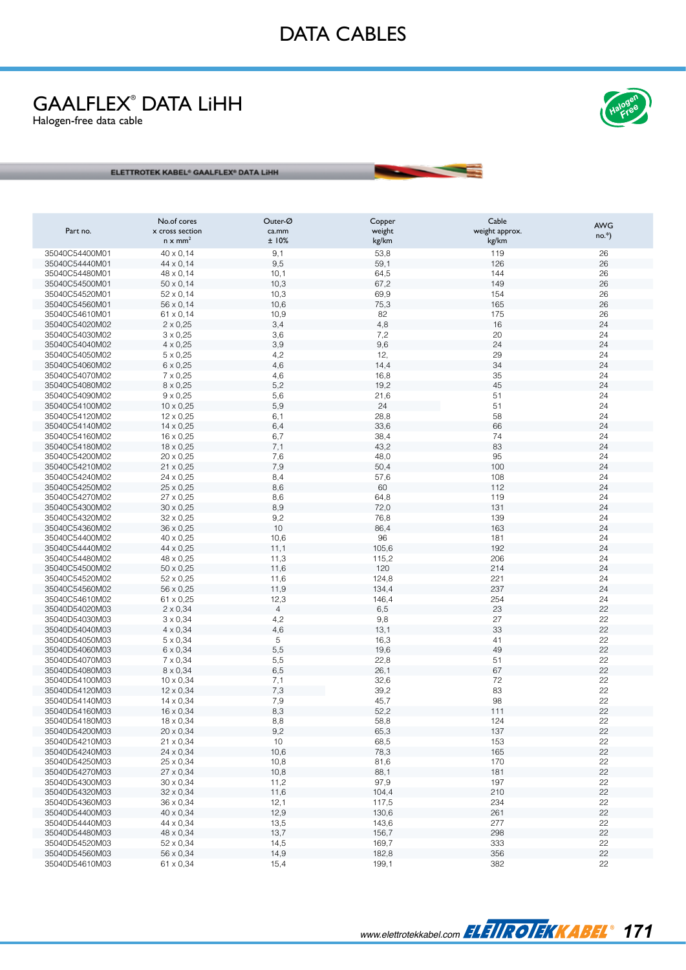# GAALFLEX ® DATA LiHH

Halogen-free data cable



ELETTROTEK KABEL<sup>e</sup> GAALFLEX<sup>\*</sup> DATA LIHH

| Part no.                         | No.of cores<br>x cross section | Outer-Ø<br>ca.mm | Copper          | Cable                   | <b>AWG</b> |
|----------------------------------|--------------------------------|------------------|-----------------|-------------------------|------------|
|                                  | $n \times mm^2$                | ±10%             | weight<br>kg/km | weight approx.<br>kg/km | $no.*$ )   |
| 35040C54400M01                   | $40 \times 0,14$               | 9,1              | 53,8            | 119                     | 26         |
| 35040C54440M01                   | $44 \times 0,14$               | 9,5              | 59,1            | 126                     | 26         |
| 35040C54480M01                   | $48 \times 0.14$               | 10,1             | 64,5            | 144                     | 26         |
| 35040C54500M01                   | $50 \times 0.14$               | 10,3             | 67,2            | 149                     | 26         |
| 35040C54520M01                   | $52 \times 0,14$               | 10,3             | 69,9            | 154                     | 26         |
| 35040C54560M01                   | 56 x 0,14                      | 10,6             | 75,3            | 165                     | 26         |
| 35040C54610M01                   | $61 \times 0,14$               | 10,9             | 82              | 175                     | 26         |
| 35040C54020M02                   | $2 \times 0,25$                | 3,4              | 4,8             | 16                      | 24         |
| 35040C54030M02                   | $3 \times 0,25$                | 3,6              | 7,2             | 20                      | 24         |
| 35040C54040M02                   | $4 \times 0,25$                | 3,9              | 9,6             | 24                      | 24         |
| 35040C54050M02                   | $5 \times 0,25$                | 4,2              | 12,             | 29                      | 24         |
| 35040C54060M02                   | $6 \times 0,25$                | 4,6              | 14,4            | 34                      | 24         |
| 35040C54070M02                   | $7 \times 0,25$                | 4,6              | 16,8            | 35                      | 24         |
| 35040C54080M02                   | $8 \times 0,25$                | 5,2              | 19,2            | 45                      | 24         |
| 35040C54090M02                   | $9 \times 0,25$                | 5,6              | 21,6            | 51                      | 24         |
| 35040C54100M02                   | $10 \times 0,25$               | 5,9              | 24              | 51                      | 24         |
| 35040C54120M02                   | $12 \times 0,25$               | 6,1              | 28,8            | 58                      | 24         |
| 35040C54140M02                   | $14 \times 0,25$               | 6,4              | 33,6            | 66                      | 24         |
| 35040C54160M02                   | $16 \times 0,25$               | 6,7              | 38,4            | 74                      | 24         |
| 35040C54180M02                   | $18 \times 0,25$               | 7,1              | 43,2            | 83                      | 24         |
| 35040C54200M02                   | $20 \times 0,25$               | 7,6              | 48,0            | 95                      | 24         |
| 35040C54210M02                   | $21 \times 0,25$               | 7,9              | 50,4            | 100                     | 24         |
| 35040C54240M02                   | 24 x 0,25                      | 8,4              | 57,6            | 108                     | 24         |
| 35040C54250M02                   | $25 \times 0,25$               | 8,6              | 60              | 112                     | 24         |
| 35040C54270M02                   | $27 \times 0,25$               | 8,6              | 64,8            | 119                     | 24         |
| 35040C54300M02                   | $30 \times 0,25$               | 8,9              | 72,0            | 131                     | 24         |
| 35040C54320M02                   | $32 \times 0,25$               | 9,2              | 76,8            | 139                     | 24         |
| 35040C54360M02                   | 36 x 0,25                      | 10               | 86,4            | 163                     | 24         |
| 35040C54400M02                   | $40 \times 0,25$               | 10,6             | 96              | 181                     | 24<br>24   |
| 35040C54440M02<br>35040C54480M02 | 44 x 0,25<br>48 x 0,25         | 11,1<br>11,3     | 105,6<br>115,2  | 192<br>206              | 24         |
| 35040C54500M02                   | $50 \times 0,25$               | 11,6             | 120             | 214                     | 24         |
| 35040C54520M02                   | $52 \times 0,25$               | 11,6             | 124,8           | 221                     | 24         |
| 35040C54560M02                   | 56 x 0,25                      | 11,9             | 134,4           | 237                     | 24         |
| 35040C54610M02                   | $61 \times 0,25$               | 12,3             | 146,4           | 254                     | 24         |
| 35040D54020M03                   | $2 \times 0,34$                | $\overline{4}$   | 6,5             | 23                      | 22         |
| 35040D54030M03                   | $3 \times 0,34$                | 4,2              | 9,8             | 27                      | 22         |
| 35040D54040M03                   | $4 \times 0,34$                | 4,6              | 13,1            | 33                      | 22         |
| 35040D54050M03                   | $5 \times 0,34$                | 5                | 16,3            | 41                      | 22         |
| 35040D54060M03                   | $6 \times 0,34$                | 5,5              | 19,6            | 49                      | 22         |
| 35040D54070M03                   | $7 \times 0,34$                | 5,5              | 22,8            | 51                      | 22         |
| 35040D54080M03                   | $8 \times 0,34$                | 6,5              | 26,1            | 67                      | 22         |
| 35040D54100M03                   | $10 \times 0,34$               | 7,1              | 32,6            | 72                      | 22         |
| 35040D54120M03                   | $12 \times 0,34$               | 7,3              | 39,2            | 83                      | 22         |
| 35040D54140M03                   | $14 \times 0,34$               | 7,9              | 45,7            | 98                      | 22         |
| 35040D54160M03                   | $16 \times 0,34$               | 8,3              | 52,2            | 111                     | 22         |
| 35040D54180M03                   | $18 \times 0,34$               | $_{\rm 8,8}$     | 58,8            | 124                     | 22         |
| 35040D54200M03                   | $20 \times 0,34$               | 9,2              | 65,3            | 137                     | 22         |
| 35040D54210M03                   | $21 \times 0,34$               | 10               | 68,5            | 153                     | 22         |
| 35040D54240M03                   | $24 \times 0,34$               | 10,6             | 78,3            | 165                     | 22         |
| 35040D54250M03                   | $25 \times 0,34$               | 10,8             | 81,6            | 170                     | 22         |
| 35040D54270M03                   | $27 \times 0,34$               | 10,8             | 88,1            | 181                     | 22         |
| 35040D54300M03                   | $30 \times 0,34$               | 11,2             | 97,9            | 197                     | 22         |
| 35040D54320M03                   | $32 \times 0,34$               | 11,6             | 104,4           | 210                     | 22         |
| 35040D54360M03                   | $36 \times 0,34$               | 12,1             | 117,5           | 234                     | 22         |
| 35040D54400M03                   | 40 x 0,34                      | 12,9             | 130,6           | 261                     | 22         |
| 35040D54440M03                   | 44 x 0,34                      | 13,5             | 143,6           | 277                     | 22         |
| 35040D54480M03                   | 48 x 0,34                      | 13,7             | 156,7           | 298                     | 22         |
| 35040D54520M03                   | $52 \times 0,34$               | 14,5             | 169,7           | 333                     | 22         |
| 35040D54560M03                   | 56 x 0,34                      | 14,9             | 182,8           | 356                     | 22         |
| 35040D54610M03                   | 61 x 0,34                      | 15,4             | 199,1           | 382                     | 22         |

www.elettrotekkabel.com **FLETIROTEKKABEL**<sup>®</sup> 171